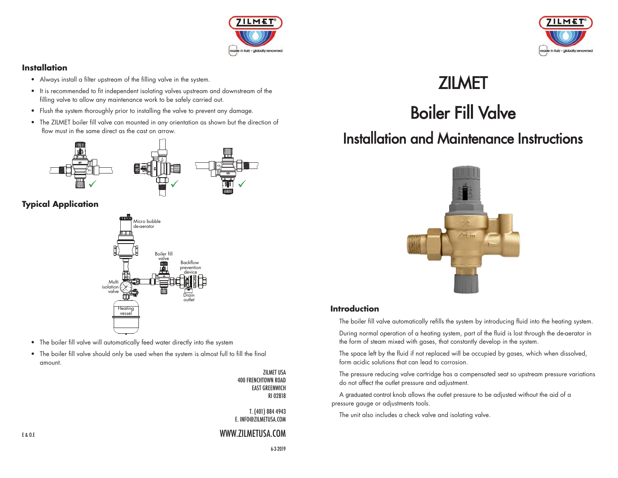

#### **Installation**

- Always install a filter upstream of the filling valve in the system.
- It is recommended to fit independent isolating valves upstream and downstream of the filling valve to allow any maintenance work to be safely carried out.
- Flush the system thoroughly prior to installing the valve to prevent any damage.
- The ZILMET boiler fill valve can mounted in any orientation as shown but the direction of flow must in the same direct as the cast on arrow.



# **Typical Application**



- The boiler fill valve will automatically feed water directly into the system
- The boiler fill valve should only be used when the system is almost full to fill the final amount.

ZILMET USA 400 FRENCHTOWN ROAD EAST GREENWICH RI 02818

T. (401) 884 4943 E. INFO@ZILMETUSA.COM

## WWW.ZILMETUSA.COM

E & O.E



# **ZILMET**

Boiler Fill Valve

# Installation and Maintenance Instructions



## **Introduction**

The boiler fill valve automatically refills the system by introducing fluid into the heating system.

 During normal operation of a heating system, part of the fluid is lost through the de-aerator in the form of steam mixed with gases, that constantly develop in the system.

 The space left by the fluid if not replaced will be occupied by gases, which when dissolved, form acidic solutions that can lead to corrosion.

 The pressure reducing valve cartridge has a compensated seat so upstream pressure variations do not affect the outlet pressure and adjustment.

 A graduated control knob allows the outlet pressure to be adjusted without the aid of a pressure gauge or adjustments tools.

The unit also includes a check valve and isolating valve.